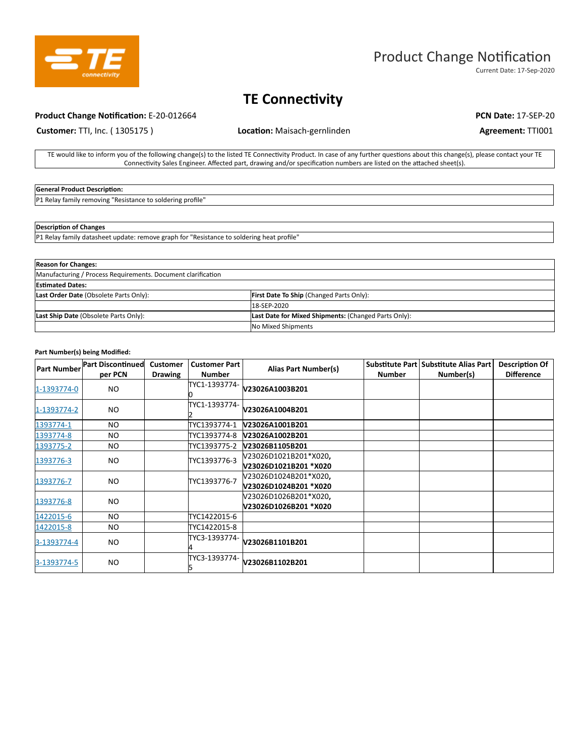

# Product Change Notification

Current Date: 17-Sep-2020

## **TE Connectivity**

### **Product Change Notification:** E-20-012664 **PCN Date: 17-SEP-20 PCN Date: 17-SEP-20**

**Customer: TTI, Inc. (1305175) <b>Location:** Maisach-gernlinden **Agreement: TTI001** 

TE would like to inform you of the following change(s) to the listed TE Connectivity Product. In case of any further questions about this change(s), please contact your TE Connectivity Sales Engineer. Affected part, drawing and/or specification numbers are listed on the attached sheet(s).

## **General Product Description:**

P1 Relay family removing "Resistance to soldering profile"

#### **Description of Changes**

P1 Relay family datasheet update: remove graph for "Resistance to soldering heat profile"

| <b>Reason for Changes:</b>                                   |                                                      |  |
|--------------------------------------------------------------|------------------------------------------------------|--|
| Manufacturing / Process Requirements. Document clarification |                                                      |  |
| <b>Estimated Dates:</b>                                      |                                                      |  |
| Last Order Date (Obsolete Parts Only):                       | <b>First Date To Ship (Changed Parts Only):</b>      |  |
|                                                              | 18-SEP-2020                                          |  |
| Last Ship Date (Obsolete Parts Only):                        | Last Date for Mixed Shipments: (Changed Parts Only): |  |
|                                                              | No Mixed Shipments                                   |  |

#### **Part Number(s) being Modified:**

| <b>Part Number</b> | <b>Part Discontinued</b><br>per PCN | <b>Customer</b><br><b>Drawing</b> | <b>Customer Part</b><br><b>Number</b> | <b>Alias Part Number(s)</b>                    | <b>Number</b> | Substitute Part Substitute Alias Part<br>Number(s) | <b>Description Of</b><br><b>Difference</b> |
|--------------------|-------------------------------------|-----------------------------------|---------------------------------------|------------------------------------------------|---------------|----------------------------------------------------|--------------------------------------------|
| 1-1393774-0        | NO.                                 |                                   | TYC1-1393774-                         | V23026A1003B201                                |               |                                                    |                                            |
| 1-1393774-2        | NO.                                 |                                   | TYC1-1393774-                         | V23026A1004B201                                |               |                                                    |                                            |
| 1393774-1          | NO.                                 |                                   | TYC1393774-1                          | V23026A1001B201                                |               |                                                    |                                            |
| 1393774-8          | NO.                                 |                                   |                                       |                                                |               |                                                    |                                            |
| 1393775-2          | NO.                                 |                                   | TYC1393775-2                          | V23026B1105B201                                |               |                                                    |                                            |
| 1393776-3          | NO.                                 |                                   | TYC1393776-3                          | V23026D1021B201*X020,<br>V23026D1021B201 *X020 |               |                                                    |                                            |
| 1393776-7          | NO.                                 |                                   | TYC1393776-7                          | V23026D1024B201*X020,<br>V23026D1024B201 *X020 |               |                                                    |                                            |
| 1393776-8          | NO.                                 |                                   |                                       | V23026D1026B201*X020,<br>V23026D1026B201 *X020 |               |                                                    |                                            |
| 1422015-6          | NO.                                 |                                   | TYC1422015-6                          |                                                |               |                                                    |                                            |
| 1422015-8          | NO.                                 |                                   | TYC1422015-8                          |                                                |               |                                                    |                                            |
| 3-1393774-4        | NO.                                 |                                   | TYC3-1393774-                         | V23026B1101B201                                |               |                                                    |                                            |
| 3-1393774-5        | NO.                                 |                                   | TYC3-1393774-                         | V23026B1102B201                                |               |                                                    |                                            |